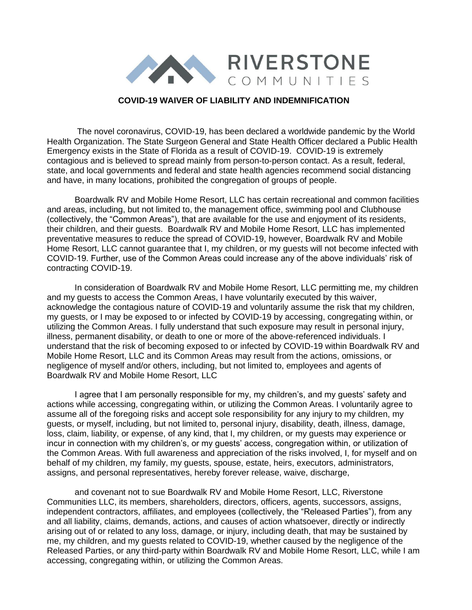

## **COVID-19 WAIVER OF LIABILITY AND INDEMNIFICATION**

The novel coronavirus, COVID-19, has been declared a worldwide pandemic by the World Health Organization. The State Surgeon General and State Health Officer declared a Public Health Emergency exists in the State of Florida as a result of COVID-19. COVID-19 is extremely contagious and is believed to spread mainly from person-to-person contact. As a result, federal, state, and local governments and federal and state health agencies recommend social distancing and have, in many locations, prohibited the congregation of groups of people.

Boardwalk RV and Mobile Home Resort, LLC has certain recreational and common facilities and areas, including, but not limited to, the management office, swimming pool and Clubhouse (collectively, the "Common Areas"), that are available for the use and enjoyment of its residents, their children, and their guests. Boardwalk RV and Mobile Home Resort, LLC has implemented preventative measures to reduce the spread of COVID-19, however, Boardwalk RV and Mobile Home Resort, LLC cannot guarantee that I, my children, or my guests will not become infected with COVID-19. Further, use of the Common Areas could increase any of the above individuals' risk of contracting COVID-19.

In consideration of Boardwalk RV and Mobile Home Resort, LLC permitting me, my children and my guests to access the Common Areas, I have voluntarily executed by this waiver, acknowledge the contagious nature of COVID-19 and voluntarily assume the risk that my children, my guests, or I may be exposed to or infected by COVID-19 by accessing, congregating within, or utilizing the Common Areas. I fully understand that such exposure may result in personal injury, illness, permanent disability, or death to one or more of the above-referenced individuals. I understand that the risk of becoming exposed to or infected by COVID-19 within Boardwalk RV and Mobile Home Resort, LLC and its Common Areas may result from the actions, omissions, or negligence of myself and/or others, including, but not limited to, employees and agents of Boardwalk RV and Mobile Home Resort, LLC

I agree that I am personally responsible for my, my children's, and my guests' safety and actions while accessing, congregating within, or utilizing the Common Areas. I voluntarily agree to assume all of the foregoing risks and accept sole responsibility for any injury to my children, my guests, or myself, including, but not limited to, personal injury, disability, death, illness, damage, loss, claim, liability, or expense, of any kind, that I, my children, or my guests may experience or incur in connection with my children's, or my guests' access, congregation within, or utilization of the Common Areas. With full awareness and appreciation of the risks involved, I, for myself and on behalf of my children, my family, my guests, spouse, estate, heirs, executors, administrators, assigns, and personal representatives, hereby forever release, waive, discharge,

and covenant not to sue Boardwalk RV and Mobile Home Resort, LLC, Riverstone Communities LLC, its members, shareholders, directors, officers, agents, successors, assigns, independent contractors, affiliates, and employees (collectively, the "Released Parties"), from any and all liability, claims, demands, actions, and causes of action whatsoever, directly or indirectly arising out of or related to any loss, damage, or injury, including death, that may be sustained by me, my children, and my guests related to COVID-19, whether caused by the negligence of the Released Parties, or any third-party within Boardwalk RV and Mobile Home Resort, LLC, while I am accessing, congregating within, or utilizing the Common Areas.